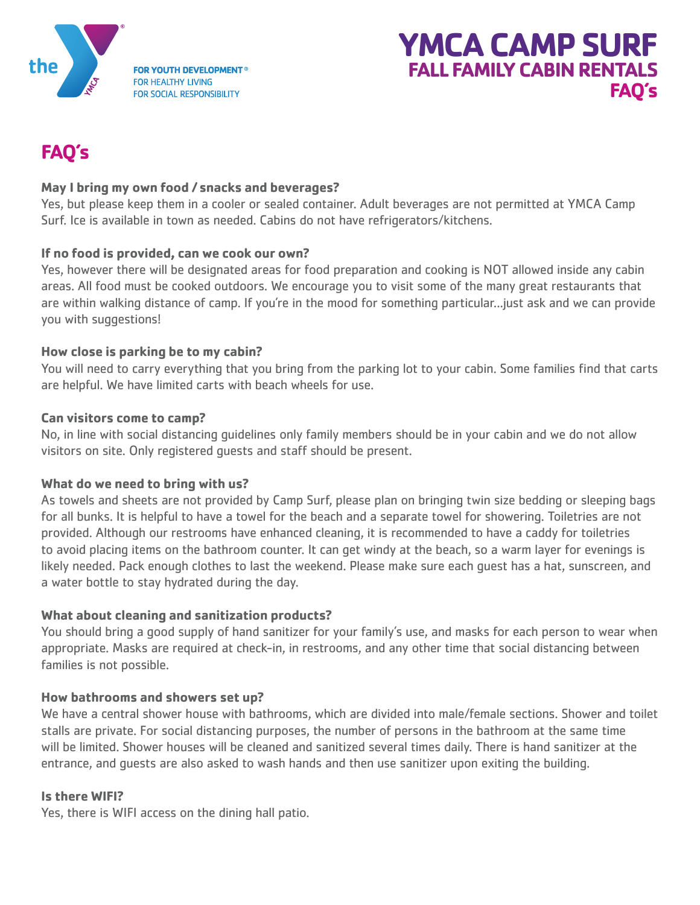



# **FAQ's**

# **May I bring my own food / snacks and beverages?**

Yes, but please keep them in a cooler or sealed container. Adult beverages are not permitted at YMCA Camp Surf. Ice is available in town as needed. Cabins do not have refrigerators/kitchens.

#### **If no food is provided, can we cook our own?**

Yes, however there will be designated areas for food preparation and cooking is NOT allowed inside any cabin areas. All food must be cooked outdoors. We encourage you to visit some of the many great restaurants that are within walking distance of camp. If you're in the mood for something particular...just ask and we can provide you with suggestions!

## **How close is parking be to my cabin?**

You will need to carry everything that you bring from the parking lot to your cabin. Some families find that carts are helpful. We have limited carts with beach wheels for use.

#### **Can visitors come to camp?**

No, in line with social distancing guidelines only family members should be in your cabin and we do not allow visitors on site. Only registered guests and staff should be present.

#### **What do we need to bring with us?**

As towels and sheets are not provided by Camp Surf, please plan on bringing twin size bedding or sleeping bags for all bunks. It is helpful to have a towel for the beach and a separate towel for showering. Toiletries are not provided. Although our restrooms have enhanced cleaning, it is recommended to have a caddy for toiletries to avoid placing items on the bathroom counter. It can get windy at the beach, so a warm layer for evenings is likely needed. Pack enough clothes to last the weekend. Please make sure each guest has a hat, sunscreen, and a water bottle to stay hydrated during the day.

#### **What about cleaning and sanitization products?**

You should bring a good supply of hand sanitizer for your family's use, and masks for each person to wear when appropriate. Masks are required at check-in, in restrooms, and any other time that social distancing between families is not possible.

#### **How bathrooms and showers set up?**

We have a central shower house with bathrooms, which are divided into male/female sections. Shower and toilet stalls are private. For social distancing purposes, the number of persons in the bathroom at the same time will be limited. Shower houses will be cleaned and sanitized several times daily. There is hand sanitizer at the entrance, and guests are also asked to wash hands and then use sanitizer upon exiting the building.

#### **Is there WIFI?**

Yes, there is WIFI access on the dining hall patio.